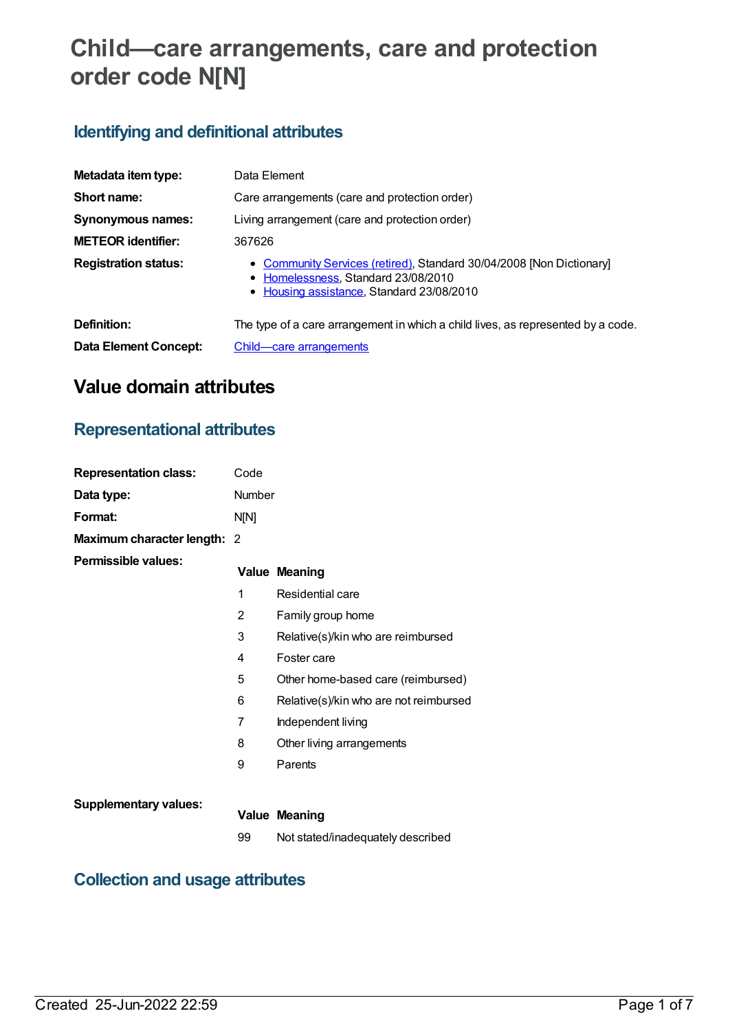# **Child—care arrangements, care and protection order code N[N]**

# **Identifying and definitional attributes**

| Metadata item type:          | Data Element                                                                                                                                             |
|------------------------------|----------------------------------------------------------------------------------------------------------------------------------------------------------|
| Short name:                  | Care arrangements (care and protection order)                                                                                                            |
| Synonymous names:            | Living arrangement (care and protection order)                                                                                                           |
| <b>METEOR identifier:</b>    | 367626                                                                                                                                                   |
| <b>Registration status:</b>  | • Community Services (retired), Standard 30/04/2008 [Non Dictionary]<br>• Homelessness, Standard 23/08/2010<br>• Housing assistance, Standard 23/08/2010 |
| Definition:                  | The type of a care arrangement in which a child lives, as represented by a code.                                                                         |
| <b>Data Element Concept:</b> | Child—care arrangements                                                                                                                                  |

# **Value domain attributes**

## **Representational attributes**

| <b>Representation class:</b> | Code           |                                        |
|------------------------------|----------------|----------------------------------------|
| Data type:                   | Number         |                                        |
| Format:                      | N[N]           |                                        |
| Maximum character length: 2  |                |                                        |
| <b>Permissible values:</b>   |                | <b>Value Meaning</b>                   |
|                              | 1              | Residential care                       |
|                              | $\overline{2}$ | Family group home                      |
|                              | 3              | Relative(s)/kin who are reimbursed     |
|                              | 4              | Foster care                            |
|                              | 5              | Other home-based care (reimbursed)     |
|                              | 6              | Relative(s)/kin who are not reimbursed |
|                              | 7              | Independent living                     |
|                              | 8              | Other living arrangements              |
|                              | 9              | Parents                                |
|                              |                |                                        |
| <b>Supplementary values:</b> |                | <b>Value Meaning</b>                   |
|                              | 99             | Not stated/inadequately described      |

# **Collection and usage attributes**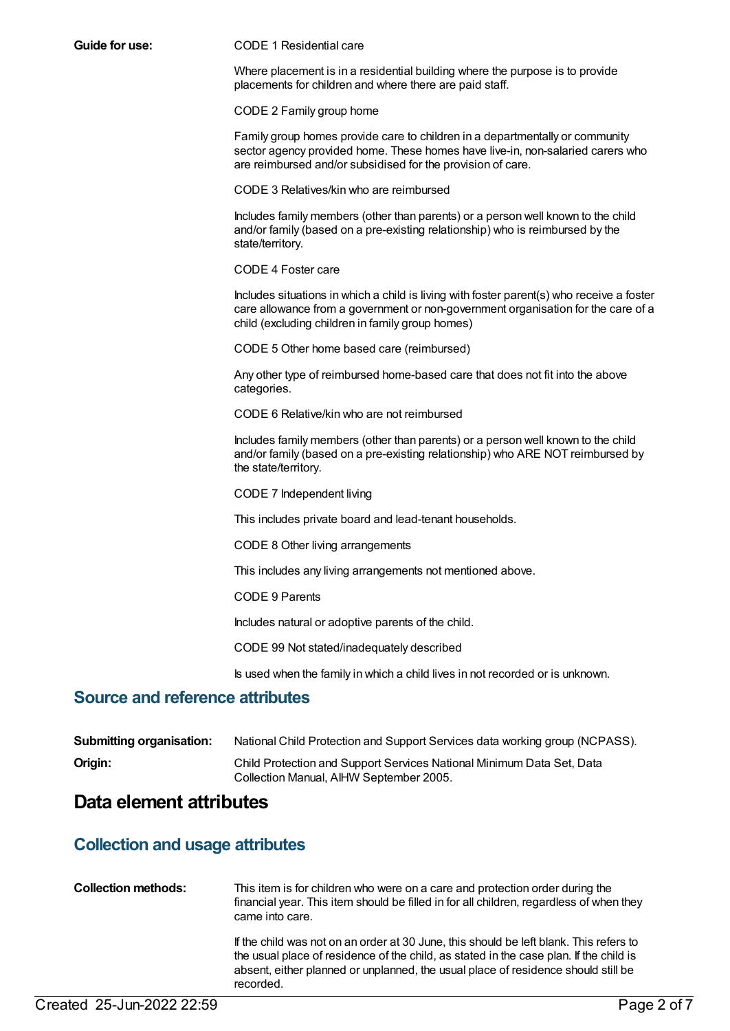#### **Guide for use:** CODE 1 Residential care

Where placement is in a residential building where the purpose is to provide placements for children and where there are paid staff.

CODE 2 Family group home

Family group homes provide care to children in a departmentally or community sector agency provided home. These homes have live-in, non-salaried carers who are reimbursed and/or subsidised for the provision of care.

CODE 3 Relatives/kin who are reimbursed

Includes family members (other than parents) or a person well known to the child and/or family (based on a pre-existing relationship) who is reimbursed by the state/territory.

CODE 4 Foster care

Includes situations in which a child is living with foster parent(s) who receive a foster care allowance from a government or non-government organisation for the care of a child (excluding children in family group homes)

CODE 5 Other home based care (reimbursed)

Any other type of reimbursed home-based care that does not fit into the above categories.

CODE 6 Relative/kin who are not reimbursed

Includes family members (other than parents) or a person well known to the child and/or family (based on a pre-existing relationship) who ARE NOT reimbursed by the state/territory.

CODE 7 Independent living

This includes private board and lead-tenant households.

CODE 8 Other living arrangements

This includes any living arrangements not mentioned above.

CODE 9 Parents

Includes natural or adoptive parents of the child.

CODE 99 Not stated/inadequately described

Is used when the family in which a child lives in not recorded or is unknown.

### **Source and reference attributes**

| <b>Submitting organisation:</b> | National Child Protection and Support Services data working group (NCPASS).                                      |
|---------------------------------|------------------------------------------------------------------------------------------------------------------|
| Origin:                         | Child Protection and Support Services National Minimum Data Set, Data<br>Collection Manual, AIHW September 2005. |

### **Data element attributes**

### **Collection and usage attributes**

| <b>Collection methods:</b> | This item is for children who were on a care and protection order during the<br>financial year. This item should be filled in for all children, regardless of when they<br>came into care.                                                                                         |
|----------------------------|------------------------------------------------------------------------------------------------------------------------------------------------------------------------------------------------------------------------------------------------------------------------------------|
|                            | If the child was not on an order at 30 June, this should be left blank. This refers to<br>the usual place of residence of the child, as stated in the case plan. If the child is<br>absent, either planned or unplanned, the usual place of residence should still be<br>recorded. |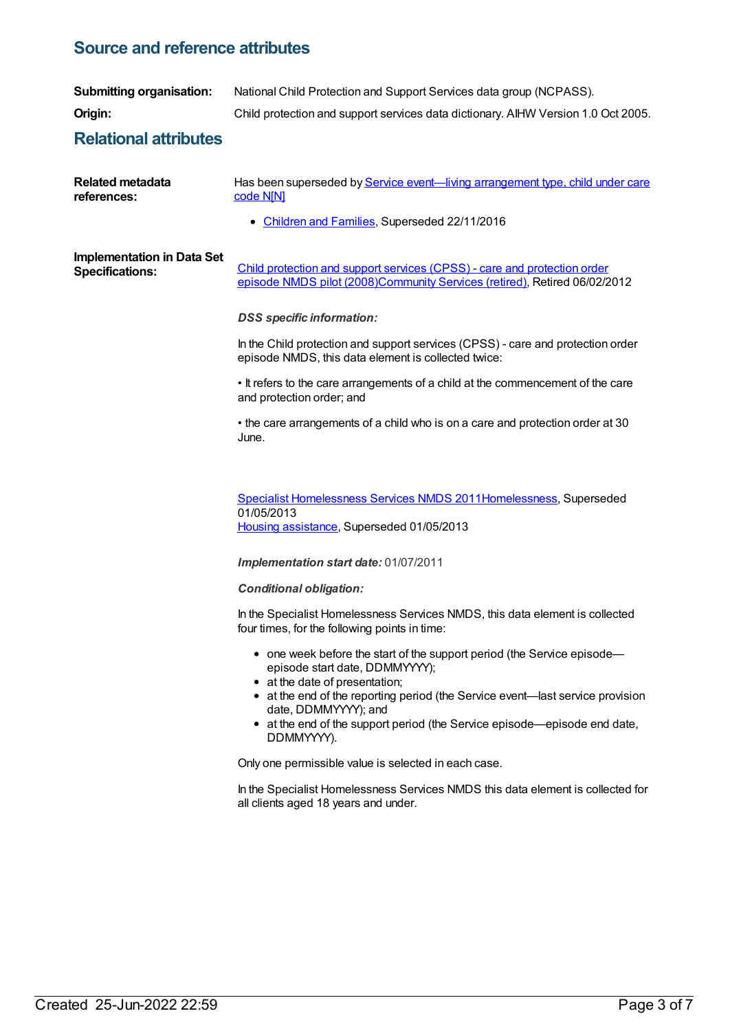### **Source and reference attributes**

| <b>Submitting organisation:</b>                             | National Child Protection and Support Services data group (NCPASS).                                                                                                                 |
|-------------------------------------------------------------|-------------------------------------------------------------------------------------------------------------------------------------------------------------------------------------|
| Origin:                                                     | Child protection and support services data dictionary. AIHW Version 1.0 Oct 2005.                                                                                                   |
| <b>Relational attributes</b>                                |                                                                                                                                                                                     |
| <b>Related metadata</b><br>references:                      | Has been superseded by Service event—living arrangement type, child under care<br>code N[N]                                                                                         |
|                                                             | • Children and Families, Superseded 22/11/2016                                                                                                                                      |
| <b>Implementation in Data Set</b><br><b>Specifications:</b> | Child protection and support services (CPSS) - care and protection order<br>episode NMDS pilot (2008)Community Services (retired), Retired 06/02/2012                               |
|                                                             | <b>DSS</b> specific information:                                                                                                                                                    |
|                                                             | In the Child protection and support services (CPSS) - care and protection order<br>episode NMDS, this data element is collected twice:                                              |
|                                                             | . It refers to the care arrangements of a child at the commencement of the care<br>and protection order; and                                                                        |
|                                                             | • the care arrangements of a child who is on a care and protection order at 30<br>June.                                                                                             |
|                                                             | Specialist Homelessness Services NMDS 2011Homelessness, Superseded<br>01/05/2013<br>Housing assistance, Superseded 01/05/2013                                                       |
|                                                             | Implementation start date: 01/07/2011                                                                                                                                               |
|                                                             | <b>Conditional obligation:</b>                                                                                                                                                      |
|                                                             | In the Specialist Homelessness Services NMDS, this data element is collected<br>four times, for the following points in time:                                                       |
|                                                             | • one week before the start of the support period (the Service episode-<br>episode start date, DDMMYYYY);<br>• at the date of presentation;                                         |
|                                                             | • at the end of the reporting period (the Service event—last service provision<br>date, DDMMYYYY); and<br>• at the end of the support period (the Service episode—episode end date, |
|                                                             | DDMMYYYY).<br>Only one permissible value is selected in each case.                                                                                                                  |
|                                                             | In the Specialist Homelessness Services NMDS this data element is collected for<br>all clients aged 18 years and under.                                                             |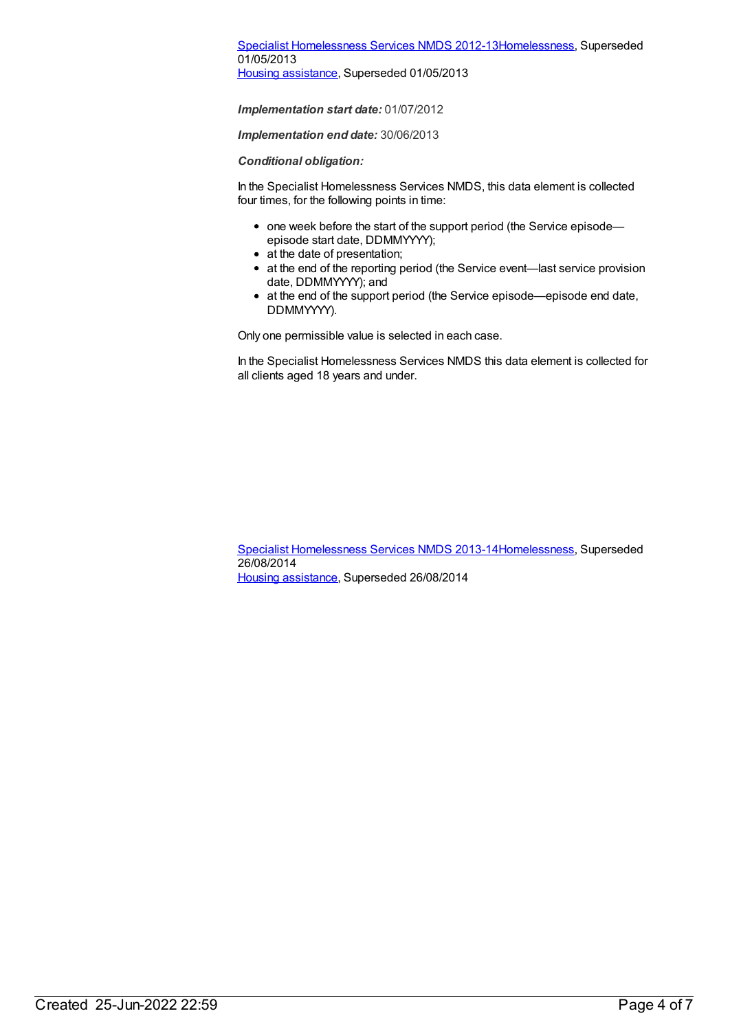### Specialist [Homelessness](https://meteor.aihw.gov.au/content/508954) Services NMDS 2012-1[3Homelessness](https://meteor.aihw.gov.au/RegistrationAuthority/14), Superseded 01/05/2013

Housing [assistance](https://meteor.aihw.gov.au/RegistrationAuthority/11), Superseded 01/05/2013

*Implementation start date:* 01/07/2012

*Implementation end date:* 30/06/2013

*Conditional obligation:*

In the Specialist Homelessness Services NMDS, this data element is collected four times, for the following points in time:

- one week before the start of the support period (the Service episodeepisode start date, DDMMYYYY);
- at the date of presentation:
- at the end of the reporting period (the Service event—last service provision date, DDMMYYYY); and
- at the end of the support period (the Service episode—episode end date, DDMMYYYY).

Only one permissible value is selected in each case.

In the Specialist Homelessness Services NMDS this data element is collected for all clients aged 18 years and under.

Specialist [Homelessness](https://meteor.aihw.gov.au/content/505626) Services NMDS 2013-1[4Homelessness](https://meteor.aihw.gov.au/RegistrationAuthority/14), Superseded 26/08/2014 Housing [assistance](https://meteor.aihw.gov.au/RegistrationAuthority/11), Superseded 26/08/2014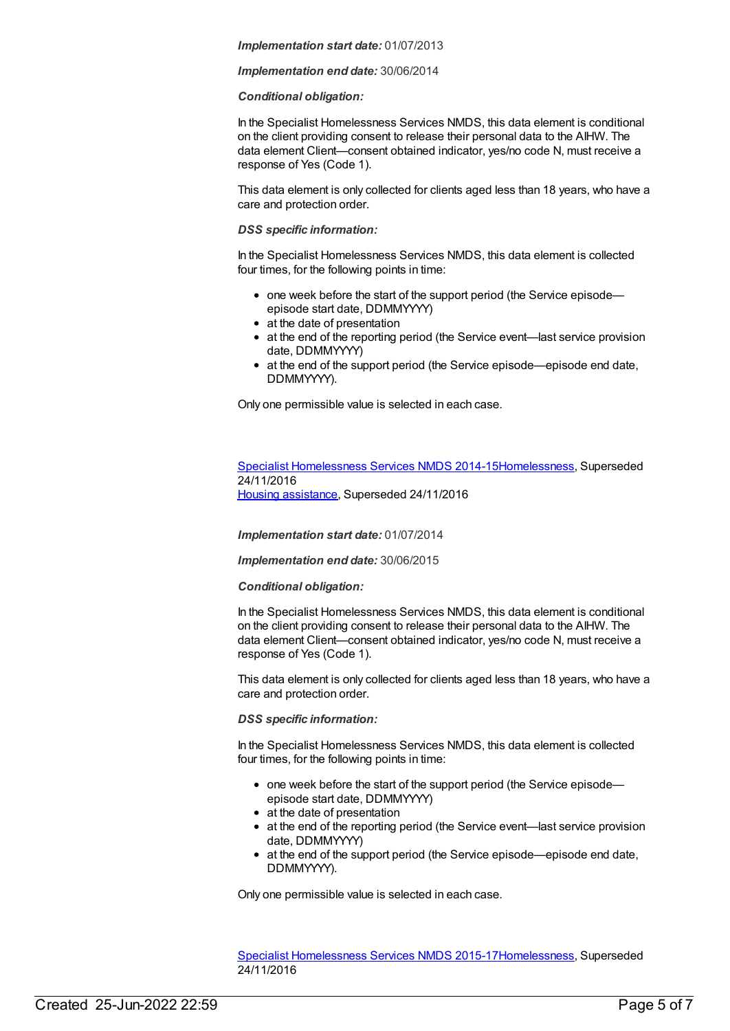#### *Implementation start date:* 01/07/2013

#### *Implementation end date:* 30/06/2014

#### *Conditional obligation:*

In the Specialist Homelessness Services NMDS, this data element is conditional on the client providing consent to release their personal data to the AIHW. The data element Client—consent obtained indicator, yes/no code N, must receive a response of Yes (Code 1).

This data element is only collected for clients aged less than 18 years, who have a care and protection order.

#### *DSS specific information:*

In the Specialist Homelessness Services NMDS, this data element is collected four times, for the following points in time:

- one week before the start of the support period (the Service episode episode start date, DDMMYYYY)
- at the date of presentation
- at the end of the reporting period (the Service event—last service provision date, DDMMYYYY)
- at the end of the support period (the Service episode—episode end date, DDMMYYYY).

Only one permissible value is selected in each case.

#### Specialist [Homelessness](https://meteor.aihw.gov.au/content/581255) Services NMDS 2014-1[5Homelessness](https://meteor.aihw.gov.au/RegistrationAuthority/14), Superseded 24/11/2016 Housing [assistance](https://meteor.aihw.gov.au/RegistrationAuthority/11), Superseded 24/11/2016

*Implementation start date:* 01/07/2014

*Implementation end date:* 30/06/2015

#### *Conditional obligation:*

In the Specialist Homelessness Services NMDS, this data element is conditional on the client providing consent to release their personal data to the AIHW. The data element Client—consent obtained indicator, yes/no code N, must receive a response of Yes (Code 1).

This data element is only collected for clients aged less than 18 years, who have a care and protection order.

#### *DSS specific information:*

In the Specialist Homelessness Services NMDS, this data element is collected four times, for the following points in time:

- one week before the start of the support period (the Service episode episode start date, DDMMYYYY)
- at the date of presentation
- at the end of the reporting period (the Service event—last service provision date, DDMMYYYY)
- at the end of the support period (the Service episode—episode end date, DDMMYYYY).

Only one permissible value is selected in each case.

Specialist [Homelessness](https://meteor.aihw.gov.au/content/658005) Services NMDS 2015-1[7Homelessness](https://meteor.aihw.gov.au/RegistrationAuthority/14), Superseded 24/11/2016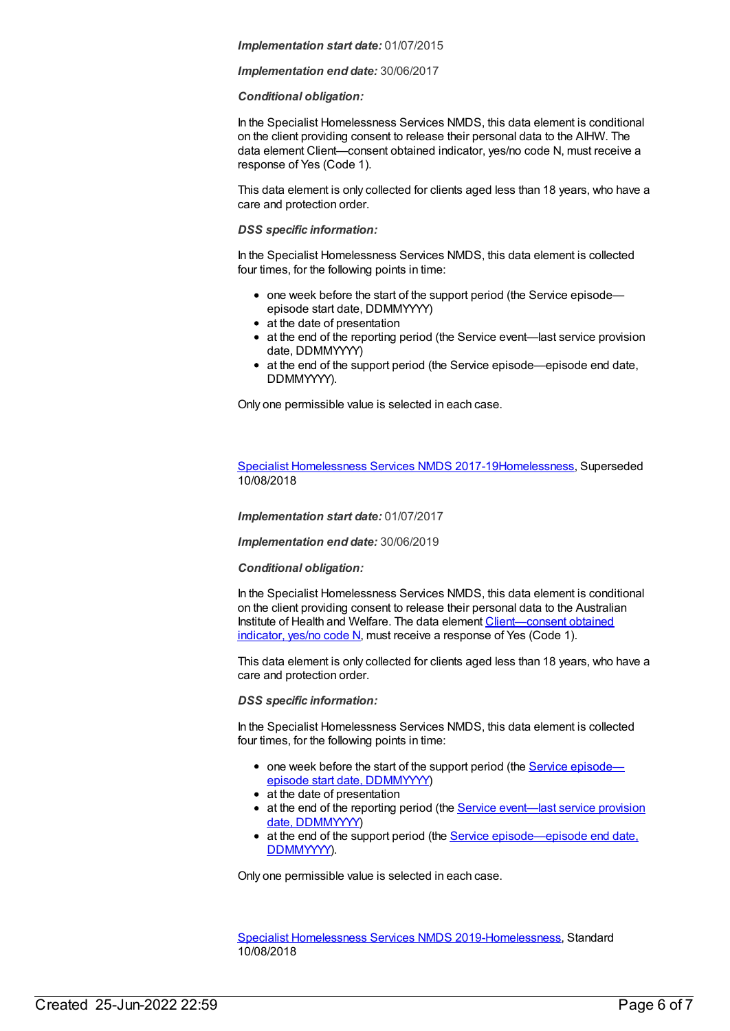#### *Implementation start date:* 01/07/2015

#### *Implementation end date:* 30/06/2017

#### *Conditional obligation:*

In the Specialist Homelessness Services NMDS, this data element is conditional on the client providing consent to release their personal data to the AIHW. The data element Client—consent obtained indicator, yes/no code N, must receive a response of Yes (Code 1).

This data element is only collected for clients aged less than 18 years, who have a care and protection order.

#### *DSS specific information:*

In the Specialist Homelessness Services NMDS, this data element is collected four times, for the following points in time:

- one week before the start of the support period (the Service episode episode start date, DDMMYYYY)
- at the date of presentation
- at the end of the reporting period (the Service event—last service provision date, DDMMYYYY)
- at the end of the support period (the Service episode—episode end date, DDMMYYYY).

Only one permissible value is selected in each case.

Specialist [Homelessness](https://meteor.aihw.gov.au/content/650006) Services NMDS 2017-1[9Homelessness](https://meteor.aihw.gov.au/RegistrationAuthority/14), Superseded 10/08/2018

*Implementation start date:* 01/07/2017

*Implementation end date:* 30/06/2019

#### *Conditional obligation:*

In the Specialist Homelessness Services NMDS, this data element is conditional on the client providing consent to release their personal data to the Australian Institute of Health and Welfare. The data element [Client—consent](file:///content/338737) obtained indicator, yes/no code N, must receive a response of Yes (Code 1).

This data element is only collected for clients aged less than 18 years, who have a care and protection order.

#### *DSS specific information:*

In the Specialist Homelessness Services NMDS, this data element is collected four times, for the following points in time:

- one week before the start of the support period (the Service episode episode start date, [DDMMYYYY\)](file:///content/338558)
- at the date of presentation
- at the end of the reporting period (the Service event—last service provision date, [DDMMYYYY\)](file:///content/323253)
- at the end of the support period (the Service [episode—episode](file:///content/270160) end date, DDMMYYYY).

Only one permissible value is selected in each case.

Specialist [Homelessness](https://meteor.aihw.gov.au/content/689064) Services NMDS 2019[-Homelessness](https://meteor.aihw.gov.au/RegistrationAuthority/14), Standard 10/08/2018